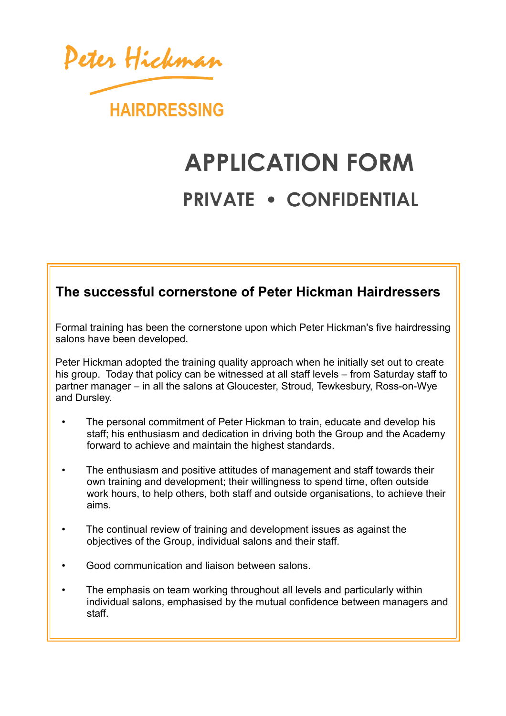

## **APPLICATION FORM PRIVATE . CONFIDENTIAL**

## **The successful cornerstone of Peter Hickman Hairdressers**

Formal training has been the cornerstone upon which Peter Hickman's five hairdressing salons have been developed.

Peter Hickman adopted the training quality approach when he initially set out to create his group. Today that policy can be witnessed at all staff levels – from Saturday staff to partner manager – in all the salons at Gloucester, Stroud, Tewkesbury, Ross-on-Wye and Dursley.

- The personal commitment of Peter Hickman to train, educate and develop his staff; his enthusiasm and dedication in driving both the Group and the Academy forward to achieve and maintain the highest standards.
- The enthusiasm and positive attitudes of management and staff towards their own training and development; their willingness to spend time, often outside work hours, to help others, both staff and outside organisations, to achieve their aims.
- The continual review of training and development issues as against the objectives of the Group, individual salons and their staff.
- Good communication and liaison between salons.
- The emphasis on team working throughout all levels and particularly within individual salons, emphasised by the mutual confidence between managers and staff.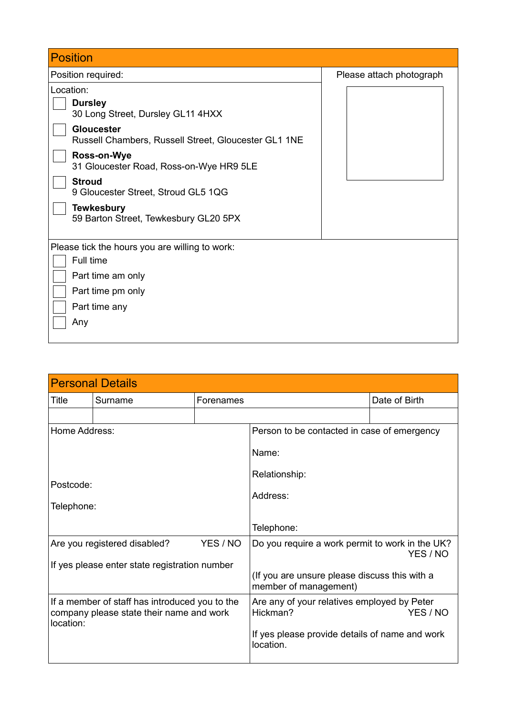| <b>Position</b>                                                                                                                                                                                                          |                          |
|--------------------------------------------------------------------------------------------------------------------------------------------------------------------------------------------------------------------------|--------------------------|
| Position required:                                                                                                                                                                                                       | Please attach photograph |
| Location:<br><b>Dursley</b><br>30 Long Street, Dursley GL11 4HXX<br><b>Gloucester</b><br>Russell Chambers, Russell Street, Gloucester GL1 1NE<br>Ross-on-Wye<br>31 Gloucester Road, Ross-on-Wye HR9 5LE<br><b>Stroud</b> |                          |
| 9 Gloucester Street, Stroud GL5 1QG<br><b>Tewkesbury</b><br>59 Barton Street, Tewkesbury GL20 5PX                                                                                                                        |                          |
| Please tick the hours you are willing to work:<br>Full time<br>Part time am only<br>Part time pm only<br>Part time any<br>Any                                                                                            |                          |

|                                                                                            | <b>Personal Details</b>                       |                                                                     |                                                                        |               |
|--------------------------------------------------------------------------------------------|-----------------------------------------------|---------------------------------------------------------------------|------------------------------------------------------------------------|---------------|
| Title                                                                                      | Surname                                       | Forenames                                                           |                                                                        | Date of Birth |
|                                                                                            |                                               |                                                                     |                                                                        |               |
| Home Address:                                                                              |                                               |                                                                     | Person to be contacted in case of emergency                            |               |
|                                                                                            |                                               | Name:                                                               |                                                                        |               |
|                                                                                            |                                               |                                                                     | Relationship:                                                          |               |
| Postcode:                                                                                  |                                               |                                                                     | Address:                                                               |               |
| Telephone:                                                                                 |                                               |                                                                     |                                                                        |               |
|                                                                                            |                                               |                                                                     | Telephone:                                                             |               |
|                                                                                            | Are you registered disabled?                  | YES / NO                                                            | Do you require a work permit to work in the UK?                        | YES / NO      |
|                                                                                            | If yes please enter state registration number |                                                                     |                                                                        |               |
|                                                                                            |                                               |                                                                     | (If you are unsure please discuss this with a<br>member of management) |               |
| If a member of staff has introduced you to the<br>company please state their name and work |                                               | Are any of your relatives employed by Peter<br>Hickman?<br>YES / NO |                                                                        |               |
| location:                                                                                  |                                               |                                                                     | If yes please provide details of name and work<br>location.            |               |
|                                                                                            |                                               |                                                                     |                                                                        |               |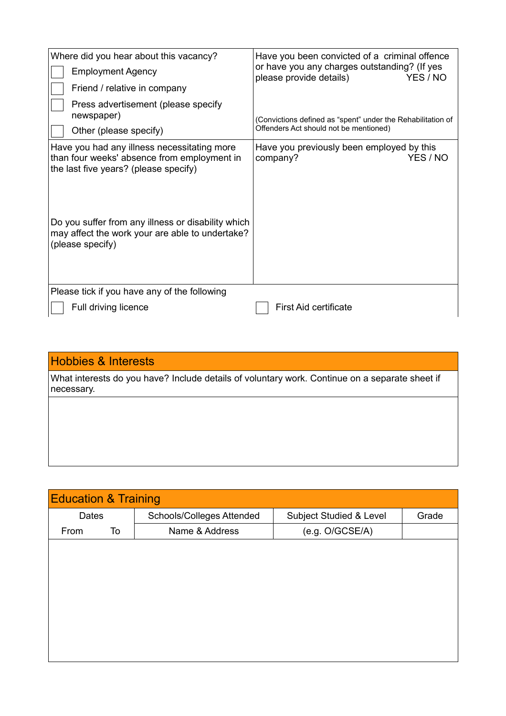| Where did you hear about this vacancy?<br><b>Employment Agency</b><br>Friend / relative in company                                                                                                                                           | Have you been convicted of a criminal offence<br>or have you any charges outstanding? (If yes<br>please provide details)<br>YES / NO |
|----------------------------------------------------------------------------------------------------------------------------------------------------------------------------------------------------------------------------------------------|--------------------------------------------------------------------------------------------------------------------------------------|
| Press advertisement (please specify<br>newspaper)<br>Other (please specify)                                                                                                                                                                  | (Convictions defined as "spent" under the Rehabilitation of<br>Offenders Act should not be mentioned)                                |
| Have you had any illness necessitating more<br>than four weeks' absence from employment in<br>the last five years? (please specify)<br>Do you suffer from any illness or disability which<br>may affect the work your are able to undertake? | Have you previously been employed by this<br>YES / NO<br>company?                                                                    |
| (please specify)                                                                                                                                                                                                                             |                                                                                                                                      |
| Please tick if you have any of the following                                                                                                                                                                                                 |                                                                                                                                      |
| Full driving licence                                                                                                                                                                                                                         | <b>First Aid certificate</b>                                                                                                         |

## Hobbies & Interests

What interests do you have? Include details of voluntary work. Continue on a separate sheet if necessary.

| <b>Education &amp; Training</b> |                                         |                           |                         |       |  |
|---------------------------------|-----------------------------------------|---------------------------|-------------------------|-------|--|
| Dates                           |                                         | Schools/Colleges Attended | Subject Studied & Level | Grade |  |
| From                            | (e.g. O/GCSE/A)<br>Name & Address<br>To |                           |                         |       |  |
|                                 |                                         |                           |                         |       |  |
|                                 |                                         |                           |                         |       |  |
|                                 |                                         |                           |                         |       |  |
|                                 |                                         |                           |                         |       |  |
|                                 |                                         |                           |                         |       |  |
|                                 |                                         |                           |                         |       |  |
|                                 |                                         |                           |                         |       |  |
|                                 |                                         |                           |                         |       |  |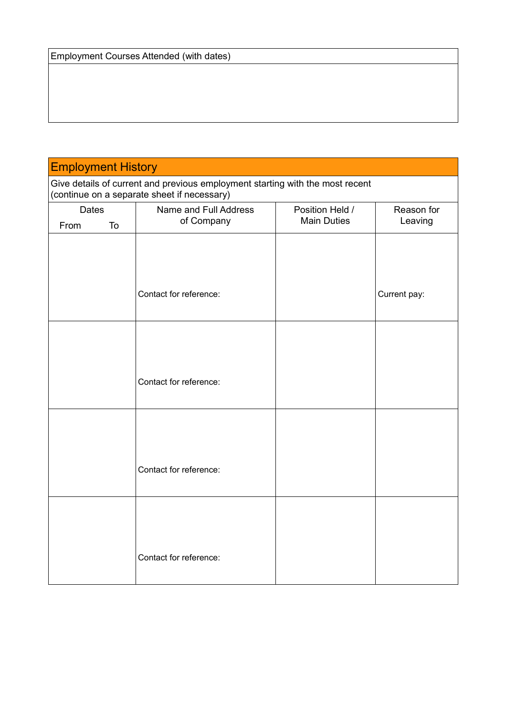## Employment History

Give details of current and previous employment starting with the most recent (continue on a separate sheet if necessary)

| Dates<br>From<br>To | Name and Full Address<br>of Company | Position Held /<br><b>Main Duties</b> | Reason for<br>Leaving |
|---------------------|-------------------------------------|---------------------------------------|-----------------------|
|                     |                                     |                                       |                       |
|                     |                                     |                                       |                       |
|                     |                                     |                                       |                       |
|                     |                                     |                                       |                       |
|                     | Contact for reference:              |                                       | Current pay:          |
|                     |                                     |                                       |                       |
|                     |                                     |                                       |                       |
|                     |                                     |                                       |                       |
|                     |                                     |                                       |                       |
|                     |                                     |                                       |                       |
|                     | Contact for reference:              |                                       |                       |
|                     |                                     |                                       |                       |
|                     |                                     |                                       |                       |
|                     |                                     |                                       |                       |
|                     |                                     |                                       |                       |
|                     | Contact for reference:              |                                       |                       |
|                     |                                     |                                       |                       |
|                     |                                     |                                       |                       |
|                     |                                     |                                       |                       |
|                     |                                     |                                       |                       |
|                     |                                     |                                       |                       |
|                     | Contact for reference:              |                                       |                       |
|                     |                                     |                                       |                       |